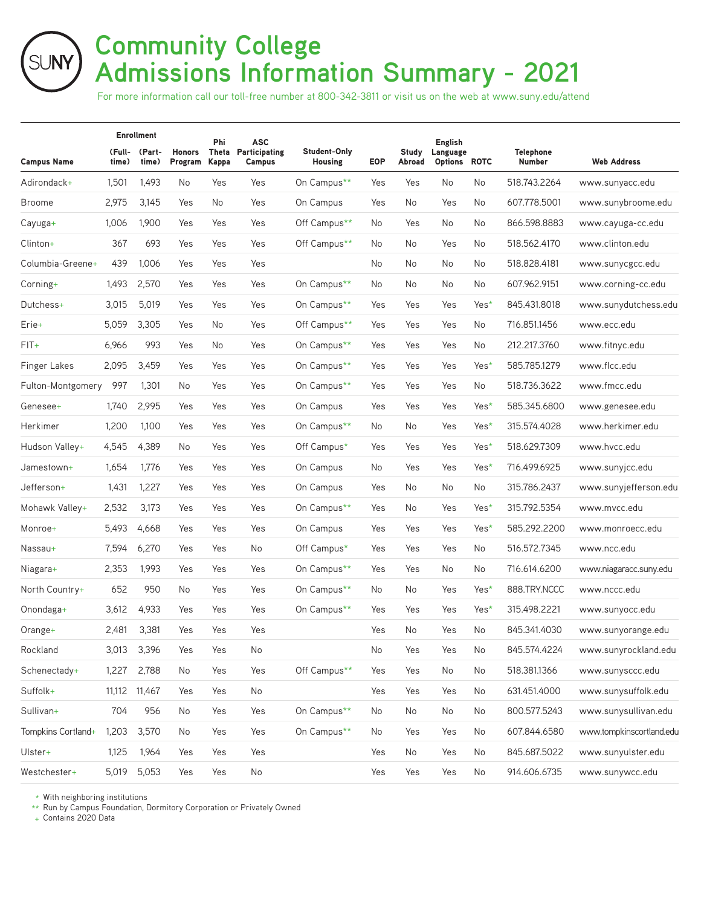## **Community College Admissions Information Summary - 2021**

For more information call our toll-free number at 800-342-3811 or visit us on the web at www.suny.edu/attend

|                     |                 | <b>Enrollment</b> |                          | Phi<br>Theta<br><b>Kappa</b> | <b>ASC</b><br><b>Participating</b><br>Campus | Student-Only<br><b>Housing</b> | <b>EOP</b> | Study<br>Abroad | <b>English</b><br>Language<br>Options ROTC |      | <b>Telephone</b><br><b>Number</b> | <b>Web Address</b>       |
|---------------------|-----------------|-------------------|--------------------------|------------------------------|----------------------------------------------|--------------------------------|------------|-----------------|--------------------------------------------|------|-----------------------------------|--------------------------|
| <b>Campus Name</b>  | (Full-<br>time) | (Part-<br>time)   | <b>Honors</b><br>Program |                              |                                              |                                |            |                 |                                            |      |                                   |                          |
| Adirondack+         | 1,501           | 1,493             | No                       | Yes                          | Yes                                          | On Campus**                    | Yes        | Yes             | No                                         | No   | 518.743.2264                      | www.sunyacc.edu          |
| Broome              | 2,975           | 3,145             | Yes                      | No.                          | Yes                                          | On Campus                      | Yes        | No              | Yes                                        | No   | 607.778.5001                      | www.sunybroome.edu       |
| Cayuga+             | 1,006           | 1,900             | Yes                      | Yes                          | Yes                                          | Off Campus**                   | No         | Yes             | No                                         | No   | 866.598.8883                      | www.cayuga-cc.edu        |
| Clinton+            | 367             | 693               | Yes                      | Yes                          | Yes                                          | Off Campus**                   | No         | No              | Yes                                        | No   | 518.562.4170                      | www.clinton.edu          |
| Columbia-Greene+    | 439             | 1,006             | Yes                      | Yes                          | Yes                                          |                                | No         | No              | No.                                        | No   | 518.828.4181                      | www.sunycgcc.edu         |
| Corning+            | 1,493           | 2,570             | Yes                      | Yes                          | Yes                                          | On Campus**                    | No         | No              | No                                         | No   | 607.962.9151                      | www.corning-cc.edu       |
| Dutchess+           | 3,015           | 5,019             | Yes                      | Yes                          | Yes                                          | On Campus**                    | Yes        | Yes             | Yes                                        | Yes* | 845.431.8018                      | www.sunydutchess.edu     |
| Erie+               | 5,059           | 3,305             | Yes                      | No.                          | Yes                                          | Off Campus**                   | Yes        | Yes             | Yes                                        | No   | 716.851.1456                      | www.ecc.edu              |
| $FIT+$              | 6,966           | 993               | Yes                      | No.                          | Yes                                          | On Campus**                    | Yes        | Yes             | Yes                                        | No   | 212.217.3760                      | www.fitnyc.edu           |
| <b>Finger Lakes</b> | 2,095           | 3,459             | Yes                      | Yes                          | Yes                                          | On Campus**                    | Yes        | Yes             | Yes                                        | Yes* | 585.785.1279                      | www.flcc.edu             |
| Fulton-Montgomery   | 997             | 1,301             | No                       | Yes                          | Yes                                          | On Campus**                    | Yes        | Yes             | Yes                                        | No   | 518.736.3622                      | www.fmcc.edu             |
| Genesee+            | 1,740           | 2,995             | Yes                      | Yes                          | Yes                                          | On Campus                      | Yes        | Yes             | Yes                                        | Yes* | 585.345.6800                      | www.genesee.edu          |
| Herkimer            | 1,200           | 1,100             | Yes                      | Yes                          | Yes                                          | On Campus**                    | No         | No              | Yes                                        | Yes* | 315.574.4028                      | www.herkimer.edu         |
| Hudson Valley+      | 4,545           | 4,389             | No                       | Yes                          | Yes                                          | Off Campus*                    | Yes        | Yes             | Yes                                        | Yes* | 518.629.7309                      | www.hvcc.edu             |
| Jamestown+          | 1,654           | 1,776             | Yes                      | Yes                          | Yes                                          | On Campus                      | No         | Yes             | Yes                                        | Yes* | 716.499.6925                      | www.sunyjcc.edu          |
| Jefferson+          | 1,431           | 1,227             | Yes                      | Yes                          | Yes                                          | On Campus                      | Yes        | No              | No                                         | No   | 315.786.2437                      | www.sunyjefferson.edu    |
| Mohawk Valley+      | 2,532           | 3,173             | Yes                      | Yes                          | Yes                                          | On Campus**                    | Yes        | No              | Yes                                        | Yes* | 315.792.5354                      | www.mvcc.edu             |
| Monroe+             | 5,493           | 4,668             | Yes                      | Yes                          | Yes                                          | On Campus                      | Yes        | Yes             | Yes                                        | Yes* | 585.292.2200                      | www.monroecc.edu         |
| Nassau+             | 7,594           | 6,270             | Yes                      | Yes                          | No                                           | Off Campus*                    | Yes        | Yes             | Yes                                        | No   | 516.572.7345                      | www.ncc.edu              |
| Niagara+            | 2,353           | 1,993             | Yes                      | Yes                          | Yes                                          | On Campus**                    | Yes        | Yes             | No                                         | No   | 716.614.6200                      | www.niagaracc.suny.edu   |
| North Country+      | 652             | 950               | No.                      | Yes                          | Yes                                          | On Campus**                    | No.        | No              | Yes                                        | Yes* | 888.TRY.NCCC                      | www.nccc.edu             |
| Onondaga+           | 3,612           | 4,933             | Yes                      | Yes                          | Yes                                          | On Campus**                    | Yes        | Yes             | Yes                                        | Yes* | 315.498.2221                      | www.sunyocc.edu          |
| Orange+             | 2,481           | 3,381             | Yes                      | Yes                          | Yes                                          |                                | Yes        | No              | Yes                                        | No   | 845.341.4030                      | www.sunyorange.edu       |
| Rockland            | 3,013           | 3,396             | Yes                      | Yes                          | No                                           |                                | No         | Yes             | Yes                                        | No   | 845.574.4224                      | www.sunyrockland.edu     |
| Schenectady+        | 1,227           | 2,788             | No                       | Yes                          | Yes                                          | Off Campus**                   | Yes        | Yes             | No                                         | No   | 518.381.1366                      | www.sunysccc.edu         |
| Suffolk+            |                 | 11,112 11,467     | Yes                      | Yes                          | No                                           |                                | Yes        | Yes             | Yes                                        | No   | 631.451.4000                      | www.sunysuffolk.edu      |
| Sullivan+           | 704             | 956               | No                       | Yes                          | Yes                                          | On Campus**                    | No         | No              | No                                         | No   | 800.577.5243                      | www.sunysullivan.edu     |
| Tompkins Cortland+  | 1,203           | 3,570             | No                       | Yes                          | Yes                                          | On Campus**                    | No         | Yes             | Yes                                        | No   | 607.844.6580                      | www.tompkinscortland.edu |
| Ulster+             | 1,125           | 1,964             | Yes                      | Yes                          | Yes                                          |                                | Yes        | No              | Yes                                        | No   | 845.687.5022                      | www.sunyulster.edu       |
| Westchester+        | 5,019           | 5,053             | Yes                      | Yes                          | $\mathsf{No}$                                |                                | Yes        | Yes             | Yes                                        | No   | 914.606.6735                      | www.sunywcc.edu          |

\* With neighboring institutions

\*\* Run by Campus Foundation, Dormitory Corporation or Privately Owned

+ Contains 2020 Data

SUNY)